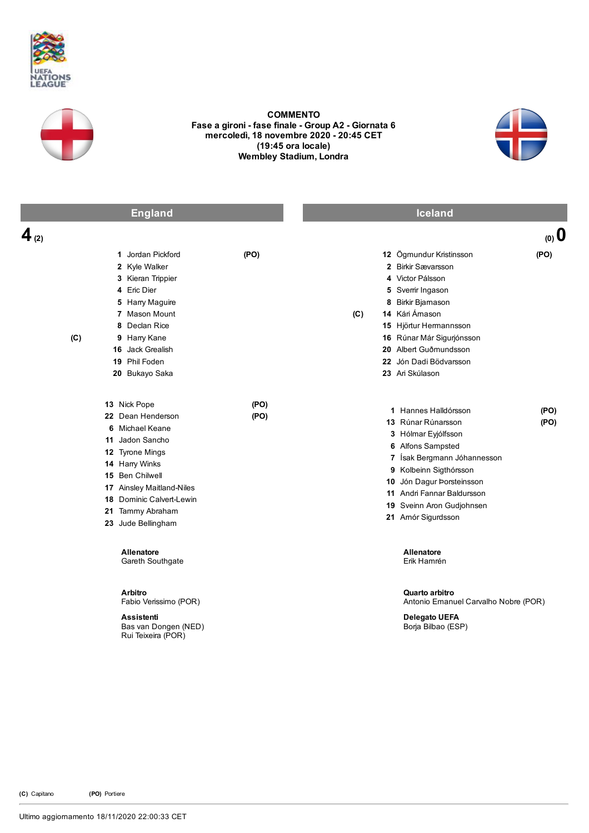



COMMENTO Fase a gironi - fase finale - Group A2 - Giornata 6 mercoledì, 18 novembre 2020 20:45 CET (19:45 ora locale) Wembley Stadium, Londra



|           | <b>England</b>                                                                                                                                                                                                                     |              |     | <b>Iceland</b>                                                                                                                                                                                                                                                |              |
|-----------|------------------------------------------------------------------------------------------------------------------------------------------------------------------------------------------------------------------------------------|--------------|-----|---------------------------------------------------------------------------------------------------------------------------------------------------------------------------------------------------------------------------------------------------------------|--------------|
| $4_{(2)}$ |                                                                                                                                                                                                                                    |              |     |                                                                                                                                                                                                                                                               | (0, 0)       |
| (C)       | 1 Jordan Pickford<br>2 Kyle Walker<br>3 Kieran Trippier<br>4 Eric Dier<br>5 Harry Maguire<br>7 Mason Mount<br>8 Declan Rice<br>9 Harry Kane<br>16 Jack Grealish<br>19 Phil Foden<br>20 Bukayo Saka                                 | (PO)         | (C) | 12 Ögmundur Kristinsson<br>2 Birkir Sævarsson<br>4 Victor Pálsson<br>5 Svemir Ingason<br>8 Birkir Bjarnason<br>14 Kári Ámason<br>15 Hjörtur Hermannsson<br>16 Rúnar Már Sigurjónsson<br>20 Albert Guðmundsson<br>22 Jón Dadi Bödvarsson<br>23 Ari Skúlason    | (PO)         |
|           | 13 Nick Pope<br>22 Dean Henderson<br>6 Michael Keane<br>11 Jadon Sancho<br>12 Tyrone Mings<br>14 Harry Winks<br>15 Ben Chilwell<br>17 Ainsley Maitland-Niles<br>18 Dominic Calvert-Lewin<br>21 Tammy Abraham<br>23 Jude Bellingham | (PO)<br>(PO) |     | 1 Hannes Halldórsson<br>13 Rúnar Rúnarsson<br>3 Hólmar Eyjólfsson<br>6 Alfons Sampsted<br>7 Ísak Bergmann Jóhannesson<br>9 Kolbeinn Sigthórsson<br>10 Jón Dagur Þorsteinsson<br>11 Andri Fannar Baldursson<br>19 Sveinn Aron Gudjohnsen<br>21 Amór Sigurdsson | (PO)<br>(PO) |
|           | <b>Allenatore</b><br>Gareth Southgate<br>Arbitro<br>Fabio Verissimo (POR)<br><b>Assistenti</b><br>Bas van Dongen (NED)<br>Rui Teixeira (POR)                                                                                       |              |     | <b>Allenatore</b><br>Erik Hamrén<br>Quarto arbitro<br>Antonio Emanuel Carvalho Nobre (POR)<br><b>Delegato UEFA</b><br>Borja Bilbao (ESP)                                                                                                                      |              |

(C) Capitano (PO) Portiere